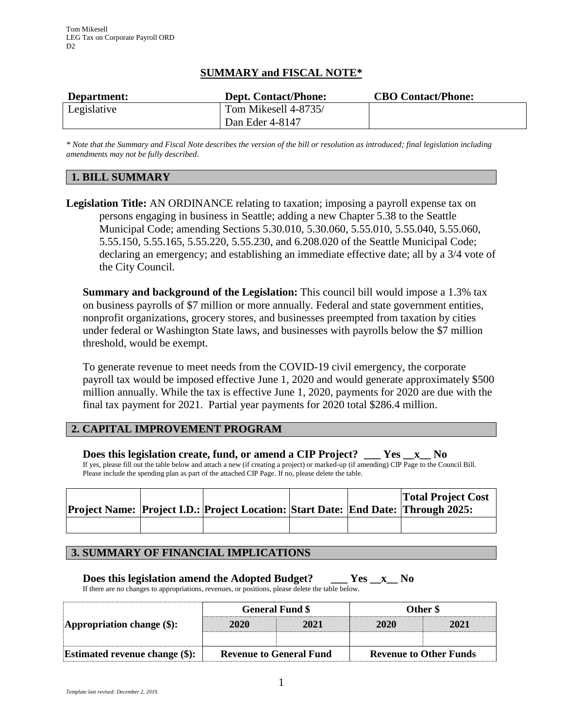## **SUMMARY and FISCAL NOTE\***

| Department: | <b>Dept. Contact/Phone:</b> | <b>CBO Contact/Phone:</b> |
|-------------|-----------------------------|---------------------------|
| Legislative | Tom Mikesell 4-8735/        |                           |
|             | Dan Eder 4-8147             |                           |

*\* Note that the Summary and Fiscal Note describes the version of the bill or resolution as introduced; final legislation including amendments may not be fully described.*

# **1. BILL SUMMARY**

**Legislation Title:** AN ORDINANCE relating to taxation; imposing a payroll expense tax on persons engaging in business in Seattle; adding a new Chapter 5.38 to the Seattle Municipal Code; amending Sections 5.30.010, 5.30.060, 5.55.010, 5.55.040, 5.55.060, 5.55.150, 5.55.165, 5.55.220, 5.55.230, and 6.208.020 of the Seattle Municipal Code; declaring an emergency; and establishing an immediate effective date; all by a 3/4 vote of the City Council.

**Summary and background of the Legislation:** This council bill would impose a 1.3% tax on business payrolls of \$7 million or more annually. Federal and state government entities, nonprofit organizations, grocery stores, and businesses preempted from taxation by cities under federal or Washington State laws, and businesses with payrolls below the \$7 million threshold, would be exempt.

To generate revenue to meet needs from the COVID-19 civil emergency, the corporate payroll tax would be imposed effective June 1, 2020 and would generate approximately \$500 million annually. While the tax is effective June 1, 2020, payments for 2020 are due with the final tax payment for 2021. Partial year payments for 2020 total \$286.4 million.

## **2. CAPITAL IMPROVEMENT PROGRAM**

**Does this legislation create, fund, or amend a CIP Project? \_\_\_ Yes \_\_x\_\_ No** If yes, please fill out the table below and attach a new (if creating a project) or marked-up (if amending) CIP Page to the Council Bill. Please include the spending plan as part of the attached CIP Page. If no, please delete the table.

|  | Project Name: Project I.D.: Project Location: Start Date: End Date: Through 2025: |  | <b>Total Project Cost</b> |
|--|-----------------------------------------------------------------------------------|--|---------------------------|
|  |                                                                                   |  |                           |

## **3. SUMMARY OF FINANCIAL IMPLICATIONS**

**Does this legislation amend the Adopted Budget? \_\_\_ Yes \_\_x\_\_ No** If there are no changes to appropriations, revenues, or positions, please delete the table below.

| Appropriation change $(\$)$ :     |                                                                 | <b>General Fund \$</b> | Other \$ |      |  |
|-----------------------------------|-----------------------------------------------------------------|------------------------|----------|------|--|
|                                   | 2020                                                            | 2021                   | 2020     | 2021 |  |
|                                   |                                                                 |                        |          |      |  |
| Estimated revenue change $(\$)$ : | <b>Revenue to Other Funds</b><br><b>Revenue to General Fund</b> |                        |          |      |  |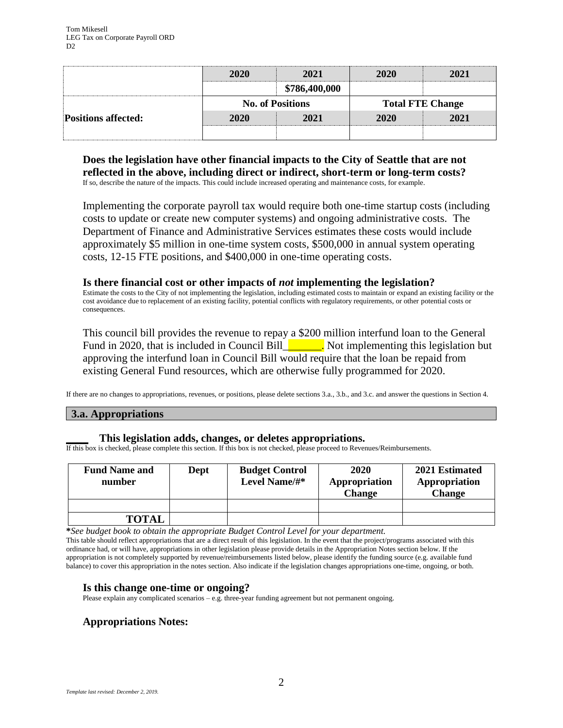|                            | 2020<br>2021 |                         | 2020                    | 2021 |  |
|----------------------------|--------------|-------------------------|-------------------------|------|--|
|                            |              | \$786,400,000           |                         |      |  |
|                            |              | <b>No. of Positions</b> | <b>Total FTE Change</b> |      |  |
| <b>Positions affected:</b> | 2020         | 2021                    | 2020                    | 2021 |  |
|                            |              |                         |                         |      |  |

### **Does the legislation have other financial impacts to the City of Seattle that are not reflected in the above, including direct or indirect, short-term or long-term costs?** If so, describe the nature of the impacts. This could include increased operating and maintenance costs, for example.

Implementing the corporate payroll tax would require both one-time startup costs (including costs to update or create new computer systems) and ongoing administrative costs. The Department of Finance and Administrative Services estimates these costs would include approximately \$5 million in one-time system costs, \$500,000 in annual system operating costs, 12-15 FTE positions, and \$400,000 in one-time operating costs.

### **Is there financial cost or other impacts of** *not* **implementing the legislation?**

Estimate the costs to the City of not implementing the legislation, including estimated costs to maintain or expand an existing facility or the cost avoidance due to replacement of an existing facility, potential conflicts with regulatory requirements, or other potential costs or consequences.

This council bill provides the revenue to repay a \$200 million interfund loan to the General Fund in 2020, that is included in Council Bill  $\blacksquare$ . Not implementing this legislation but approving the interfund loan in Council Bill would require that the loan be repaid from existing General Fund resources, which are otherwise fully programmed for 2020.

If there are no changes to appropriations, revenues, or positions, please delete sections 3.a., 3.b., and 3.c. and answer the questions in Section 4.

### **3.a. Appropriations**

#### **\_\_\_\_ This legislation adds, changes, or deletes appropriations.**

If this box is checked, please complete this section. If this box is not checked, please proceed to Revenues/Reimbursements.

| <b>Fund Name and</b><br>number | Dept | <b>Budget Control</b><br>Level Name/#* | 2020<br>Appropriation<br><b>Change</b> | 2021 Estimated<br>Appropriation<br><b>Change</b> |
|--------------------------------|------|----------------------------------------|----------------------------------------|--------------------------------------------------|
|                                |      |                                        |                                        |                                                  |
| <b>TOTAL</b>                   |      |                                        |                                        |                                                  |

**\****See budget book to obtain the appropriate Budget Control Level for your department.*

This table should reflect appropriations that are a direct result of this legislation. In the event that the project/programs associated with this ordinance had, or will have, appropriations in other legislation please provide details in the Appropriation Notes section below. If the appropriation is not completely supported by revenue/reimbursements listed below, please identify the funding source (e.g. available fund balance) to cover this appropriation in the notes section. Also indicate if the legislation changes appropriations one-time, ongoing, or both.

### **Is this change one-time or ongoing?**

Please explain any complicated scenarios – e.g. three-year funding agreement but not permanent ongoing.

## **Appropriations Notes:**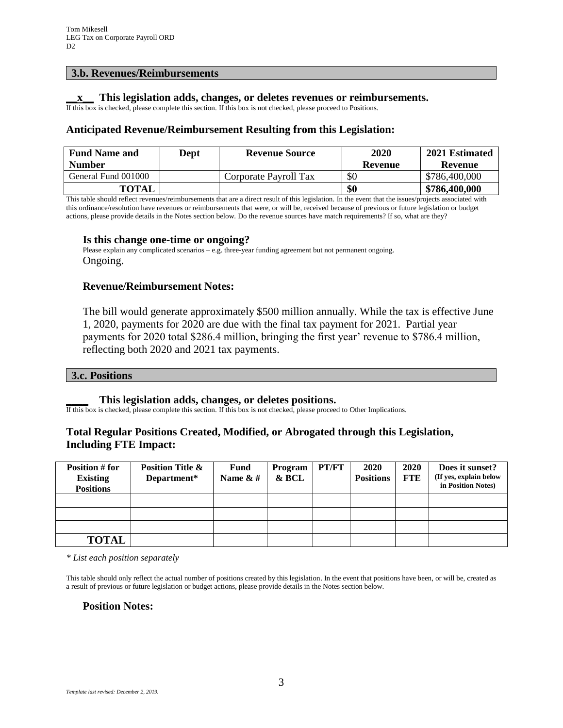#### **3.b. Revenues/Reimbursements**

### **\_\_x\_\_ This legislation adds, changes, or deletes revenues or reimbursements.**

If this box is checked, please complete this section. If this box is not checked, please proceed to Positions.

### **Anticipated Revenue/Reimbursement Resulting from this Legislation:**

| <b>Fund Name and</b> | <b>Dept</b> | <b>Revenue Source</b> | 2020           | 2021 Estimated |
|----------------------|-------------|-----------------------|----------------|----------------|
| <b>Number</b>        |             |                       | <b>Revenue</b> | <b>Revenue</b> |
| General Fund 001000  |             | Corporate Payroll Tax | \$0            | \$786,400,000  |
| <b>TOTAL</b>         |             |                       | \$0            | \$786,400,000  |

This table should reflect revenues/reimbursements that are a direct result of this legislation. In the event that the issues/projects associated with this ordinance/resolution have revenues or reimbursements that were, or will be, received because of previous or future legislation or budget actions, please provide details in the Notes section below. Do the revenue sources have match requirements? If so, what are they?

#### **Is this change one-time or ongoing?**

Please explain any complicated scenarios – e.g. three-year funding agreement but not permanent ongoing. Ongoing.

#### **Revenue/Reimbursement Notes:**

The bill would generate approximately \$500 million annually. While the tax is effective June 1, 2020, payments for 2020 are due with the final tax payment for 2021. Partial year payments for 2020 total \$286.4 million, bringing the first year' revenue to \$786.4 million, reflecting both 2020 and 2021 tax payments.

#### **3.c. Positions**

#### **\_\_\_\_ This legislation adds, changes, or deletes positions.**

If this box is checked, please complete this section. If this box is not checked, please proceed to Other Implications.

### **Total Regular Positions Created, Modified, or Abrogated through this Legislation, Including FTE Impact:**

| Position # for<br><b>Existing</b><br><b>Positions</b> | <b>Position Title &amp;</b><br>Department* | Fund<br>Name $\& \#$ | Program<br>& BCL | PT/FT | 2020<br><b>Positions</b> | 2020<br><b>FTE</b> | Does it sunset?<br>(If yes, explain below<br>in Position Notes) |
|-------------------------------------------------------|--------------------------------------------|----------------------|------------------|-------|--------------------------|--------------------|-----------------------------------------------------------------|
|                                                       |                                            |                      |                  |       |                          |                    |                                                                 |
|                                                       |                                            |                      |                  |       |                          |                    |                                                                 |
|                                                       |                                            |                      |                  |       |                          |                    |                                                                 |
| <b>TOTAL</b>                                          |                                            |                      |                  |       |                          |                    |                                                                 |

*\* List each position separately*

This table should only reflect the actual number of positions created by this legislation. In the event that positions have been, or will be, created as a result of previous or future legislation or budget actions, please provide details in the Notes section below.

#### **Position Notes:**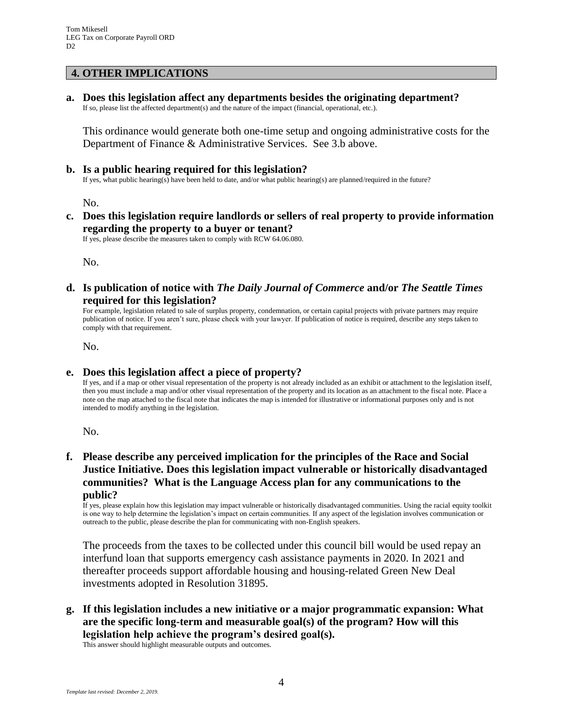## **4. OTHER IMPLICATIONS**

**a. Does this legislation affect any departments besides the originating department?**

If so, please list the affected department(s) and the nature of the impact (financial, operational, etc.).

This ordinance would generate both one-time setup and ongoing administrative costs for the Department of Finance & Administrative Services. See 3.b above.

### **b. Is a public hearing required for this legislation?**

If yes, what public hearing(s) have been held to date, and/or what public hearing(s) are planned/required in the future?

No.

**c. Does this legislation require landlords or sellers of real property to provide information regarding the property to a buyer or tenant?**

If yes, please describe the measures taken to comply with RCW 64.06.080.

No.

**d. Is publication of notice with** *The Daily Journal of Commerce* **and/or** *The Seattle Times* **required for this legislation?**

For example, legislation related to sale of surplus property, condemnation, or certain capital projects with private partners may require publication of notice. If you aren't sure, please check with your lawyer. If publication of notice is required, describe any steps taken to comply with that requirement.

No.

## **e. Does this legislation affect a piece of property?**

If yes, and if a map or other visual representation of the property is not already included as an exhibit or attachment to the legislation itself, then you must include a map and/or other visual representation of the property and its location as an attachment to the fiscal note. Place a note on the map attached to the fiscal note that indicates the map is intended for illustrative or informational purposes only and is not intended to modify anything in the legislation.

No.

## **f. Please describe any perceived implication for the principles of the Race and Social Justice Initiative. Does this legislation impact vulnerable or historically disadvantaged communities? What is the Language Access plan for any communications to the public?**

If yes, please explain how this legislation may impact vulnerable or historically disadvantaged communities. Using the racial equity toolkit is one way to help determine the legislation's impact on certain communities. If any aspect of the legislation involves communication or outreach to the public, please describe the plan for communicating with non-English speakers.

The proceeds from the taxes to be collected under this council bill would be used repay an interfund loan that supports emergency cash assistance payments in 2020. In 2021 and thereafter proceeds support affordable housing and housing-related Green New Deal investments adopted in Resolution 31895.

**g. If this legislation includes a new initiative or a major programmatic expansion: What are the specific long-term and measurable goal(s) of the program? How will this legislation help achieve the program's desired goal(s).**

This answer should highlight measurable outputs and outcomes.